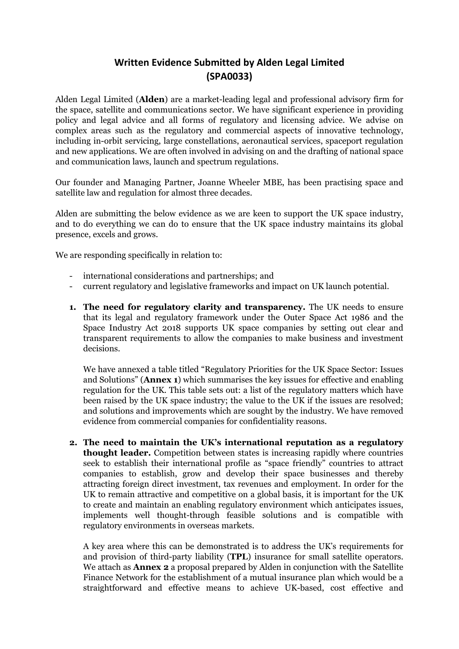## **Written Evidence Submitted by Alden Legal Limited (SPA0033)**

Alden Legal Limited (**Alden**) are a market-leading legal and professional advisory firm for the space, satellite and communications sector. We have significant experience in providing policy and legal advice and all forms of regulatory and licensing advice. We advise on complex areas such as the regulatory and commercial aspects of innovative technology, including in-orbit servicing, large constellations, aeronautical services, spaceport regulation and new applications. We are often involved in advising on and the drafting of national space and communication laws, launch and spectrum regulations.

Our founder and Managing Partner, Joanne Wheeler MBE, has been practising space and satellite law and regulation for almost three decades.

Alden are submitting the below evidence as we are keen to support the UK space industry, and to do everything we can do to ensure that the UK space industry maintains its global presence, excels and grows.

We are responding specifically in relation to:

- international considerations and partnerships; and
- current regulatory and legislative frameworks and impact on UK launch potential.
- **1. The need for regulatory clarity and transparency.** The UK needs to ensure that its legal and regulatory framework under the Outer Space Act 1986 and the Space Industry Act 2018 supports UK space companies by setting out clear and transparent requirements to allow the companies to make business and investment decisions.

We have annexed a table titled "Regulatory Priorities for the UK Space Sector: Issues and Solutions" (**Annex 1**) which summarises the key issues for effective and enabling regulation for the UK. This table sets out: a list of the regulatory matters which have been raised by the UK space industry; the value to the UK if the issues are resolved; and solutions and improvements which are sought by the industry. We have removed evidence from commercial companies for confidentiality reasons.

**2. The need to maintain the UK's international reputation as a regulatory thought leader.** Competition between states is increasing rapidly where countries seek to establish their international profile as "space friendly" countries to attract companies to establish, grow and develop their space businesses and thereby attracting foreign direct investment, tax revenues and employment. In order for the UK to remain attractive and competitive on a global basis, it is important for the UK to create and maintain an enabling regulatory environment which anticipates issues, implements well thought-through feasible solutions and is compatible with regulatory environments in overseas markets.

A key area where this can be demonstrated is to address the UK's requirements for and provision of third-party liability (**TPL**) insurance for small satellite operators. We attach as **Annex 2** a proposal prepared by Alden in conjunction with the Satellite Finance Network for the establishment of a mutual insurance plan which would be a straightforward and effective means to achieve UK-based, cost effective and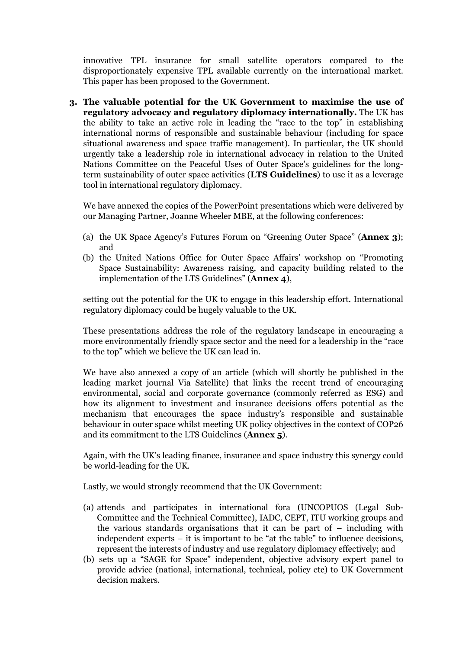innovative TPL insurance for small satellite operators compared to the disproportionately expensive TPL available currently on the international market. This paper has been proposed to the Government.

**3. The valuable potential for the UK Government to maximise the use of regulatory advocacy and regulatory diplomacy internationally.** The UK has the ability to take an active role in leading the "race to the top" in establishing international norms of responsible and sustainable behaviour (including for space situational awareness and space traffic management). In particular, the UK should urgently take a leadership role in international advocacy in relation to the United Nations Committee on the Peaceful Uses of Outer Space's guidelines for the longterm sustainability of outer space activities (**LTS Guidelines**) to use it as a leverage tool in international regulatory diplomacy.

We have annexed the copies of the PowerPoint presentations which were delivered by our Managing Partner, Joanne Wheeler MBE, at the following conferences:

- (a) the UK Space Agency's Futures Forum on "Greening Outer Space" (**Annex 3**); and
- (b) the United Nations Office for Outer Space Affairs' workshop on "Promoting Space Sustainability: Awareness raising, and capacity building related to the implementation of the LTS Guidelines" (**Annex 4**),

setting out the potential for the UK to engage in this leadership effort. International regulatory diplomacy could be hugely valuable to the UK.

These presentations address the role of the regulatory landscape in encouraging a more environmentally friendly space sector and the need for a leadership in the "race to the top" which we believe the UK can lead in.

We have also annexed a copy of an article (which will shortly be published in the leading market journal Via Satellite) that links the recent trend of encouraging environmental, social and corporate governance (commonly referred as ESG) and how its alignment to investment and insurance decisions offers potential as the mechanism that encourages the space industry's responsible and sustainable behaviour in outer space whilst meeting UK policy objectives in the context of COP26 and its commitment to the LTS Guidelines (**Annex 5**).

Again, with the UK's leading finance, insurance and space industry this synergy could be world-leading for the UK.

Lastly, we would strongly recommend that the UK Government:

- (a) attends and participates in international fora (UNCOPUOS (Legal Sub-Committee and the Technical Committee), IADC, CEPT, ITU working groups and the various standards organisations that it can be part of – including with independent experts – it is important to be "at the table" to influence decisions, represent the interests of industry and use regulatory diplomacy effectively; and
- (b) sets up a "SAGE for Space" independent, objective advisory expert panel to provide advice (national, international, technical, policy etc) to UK Government decision makers.